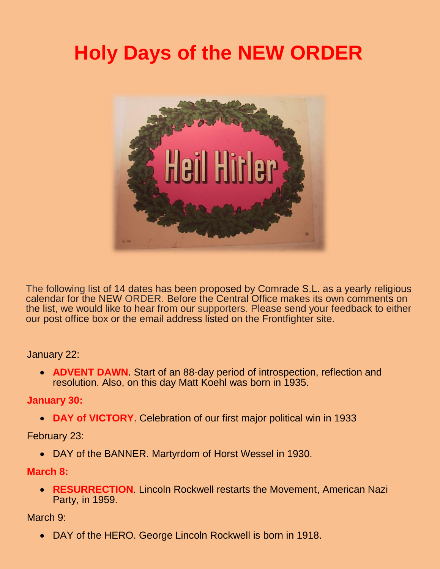# **Holy Days of the NEW ORDER**



The following list of 14 dates has been proposed by Comrade S.L. as a yearly religious calendar for the NEW ORDER. Before the Central Office makes its own comments on the list, we would like to hear from our supporters. Please send your feedback to either our post office box or the email address listed on the Frontfighter site.

#### January 22:

• **ADVENT DAWN**. Start of an 88-day period of introspection, reflection and resolution. Also, on this day Matt Koehl was born in 1935.

## **January 30:**

• **DAY of VICTORY**. Celebration of our first major political win in 1933

#### February 23:

• DAY of the BANNER. Martyrdom of Horst Wessel in 1930.

#### **March 8:**

• **RESURRECTION**. Lincoln Rockwell restarts the Movement, American Nazi Party, in 1959.

## March 9:

• DAY of the HERO. George Lincoln Rockwell is born in 1918.